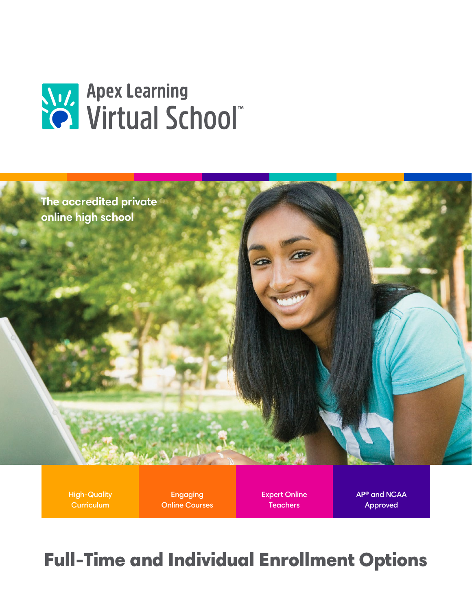



High-Quality **Curriculum** 

Engaging Online Courses Expert Online **Teachers** 

AP® and NCAA Approved

## Full-Time and Individual Enrollment Options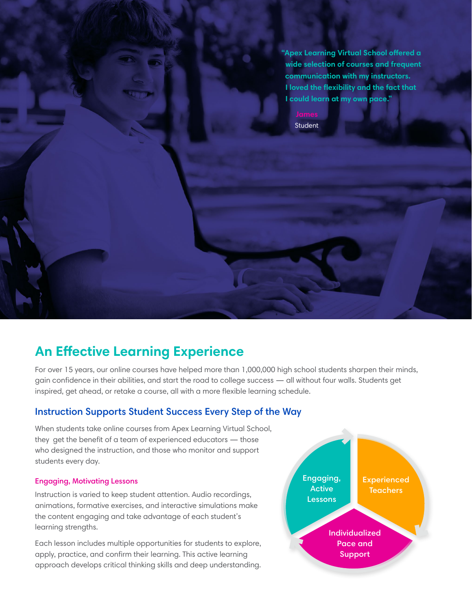**"Apex Learning Virtual School offered a wide selection of courses and frequent communication with my instructors. I loved the flexibility and the fact that I could learn at my own pace."**

**Student** 

## **An Effective Learning Experience**

For over 15 years, our online courses have helped more than 1,000,000 high school students sharpen their minds, gain confidence in their abilities, and start the road to college success — all without four walls. Students get inspired, get ahead, or retake a course, all with a more flexible learning schedule.

## Instruction Supports Student Success Every Step of the Way

When students take online courses from Apex Learning Virtual School, they get the benefit of a team of experienced educators — those who designed the instruction, and those who monitor and support students every day.

#### Engaging, Motivating Lessons

Instruction is varied to keep student attention. Audio recordings, animations, formative exercises, and interactive simulations make the content engaging and take advantage of each student's learning strengths.

Each lesson includes multiple opportunities for students to explore, apply, practice, and confirm their learning. This active learning approach develops critical thinking skills and deep understanding.

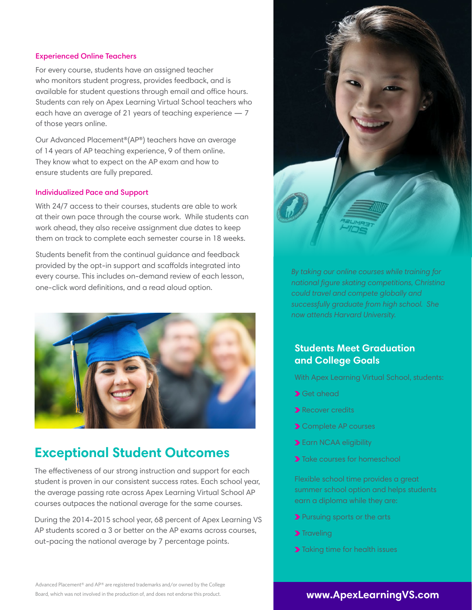#### Experienced Online Teachers

For every course, students have an assigned teacher who monitors student progress, provides feedback, and is available for student questions through email and office hours. Students can rely on Apex Learning Virtual School teachers who each have an average of 21 years of teaching experience — 7 of those years online.

Our Advanced Placement®(AP®) teachers have an average of 14 years of AP teaching experience, 9 of them online. They know what to expect on the AP exam and how to ensure students are fully prepared.

#### Individualized Pace and Support

With 24/7 access to their courses, students are able to work at their own pace through the course work. While students can work ahead, they also receive assignment due dates to keep them on track to complete each semester course in 18 weeks.

Students benefit from the continual guidance and feedback provided by the opt-in support and scaffolds integrated into every course. This includes on-demand review of each lesson, one-click word definitions, and a read aloud option.



## **Exceptional Student Outcomes**

The effectiveness of our strong instruction and support for each student is proven in our consistent success rates. Each school year, the average passing rate across Apex Learning Virtual School AP courses outpaces the national average for the same courses.

During the 2014-2015 school year, 68 percent of Apex Learning VS AP students scored a 3 or better on the AP exams across courses, out-pacing the national average by 7 percentage points.



*By taking our online courses while training for national figure skating competitions, Christina could travel and compete globally and successfully graduate from high school. She now attends Harvard University.* 

## **Students Meet Graduation and College Goals**

With Apex Learning Virtual School, students:

- **>** Get ahead
- Recover credits
- **>** Complete AP courses
- Earn NCAA eligibility
- **>**Take courses for homeschool

Flexible school time provides a great summer school option and helps students earn a diploma while they are:

- Pursuing sports or the arts
- > Traveling
- > Taking time for health issues

Advanced Placement® and AP® are registered trademarks and/or owned by the College Board, which was not involved in the production of, and does not endorse this product. **www.ApexLearningVS.com**